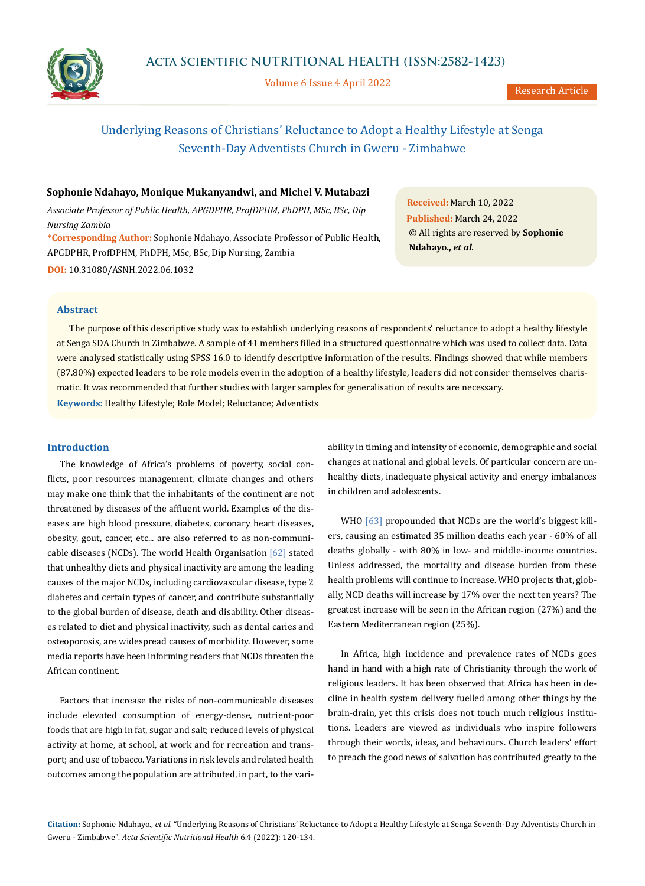

Volume 6 Issue 4 April 2022

# Underlying Reasons of Christians' Reluctance to Adopt a Healthy Lifestyle at Senga Seventh-Day Adventists Church in Gweru - Zimbabwe

## **Sophonie Ndahayo, Monique Mukanyandwi, and Michel V. Mutabazi**

*Associate Professor of Public Health, APGDPHR, ProfDPHM, PhDPH, MSc, BSc, Dip Nursing Zambia*

**\*Corresponding Author:** Sophonie Ndahayo, Associate Professor of Public Health, APGDPHR, ProfDPHM, PhDPH, MSc, BSc, Dip Nursing, Zambia **DOI:** [10.31080/ASNH.2022.06.1032](https://actascientific.com/ASNH/pdf/ASNH-06-1032.pdf)

**Received:** March 10, 2022 **Published:** March 24, 2022 © All rights are reserved by **Sophonie Ndahayo.,** *et al.*

## **Abstract**

**Keywords:** Healthy Lifestyle; Role Model; Reluctance; Adventists The purpose of this descriptive study was to establish underlying reasons of respondents' reluctance to adopt a healthy lifestyle at Senga SDA Church in Zimbabwe. A sample of 41 members filled in a structured questionnaire which was used to collect data. Data were analysed statistically using SPSS 16.0 to identify descriptive information of the results. Findings showed that while members (87.80%) expected leaders to be role models even in the adoption of a healthy lifestyle, leaders did not consider themselves charismatic. It was recommended that further studies with larger samples for generalisation of results are necessary.

# **Introduction**

The knowledge of Africa's problems of poverty, social conflicts, poor resources management, climate changes and others may make one think that the inhabitants of the continent are not threatened by diseases of the affluent world. Examples of the diseases are high blood pressure, diabetes, coronary heart diseases, obesity, gout, cancer, etc... are also referred to as non-communicable diseases (NCDs). The world Health Organisation [62] stated that unhealthy diets and physical inactivity are among the leading causes of the major NCDs, including cardiovascular disease, type 2 diabetes and certain types of cancer, and contribute substantially to the global burden of disease, death and disability. Other diseases related to diet and physical inactivity, such as dental caries and osteoporosis, are widespread causes of morbidity. However, some media reports have been informing readers that NCDs threaten the African continent.

Factors that increase the risks of non-communicable diseases include elevated consumption of energy-dense, nutrient-poor foods that are high in fat, sugar and salt; reduced levels of physical activity at home, at school, at work and for recreation and transport; and use of tobacco. Variations in risk levels and related health outcomes among the population are attributed, in part, to the variability in timing and intensity of economic, demographic and social changes at national and global levels. Of particular concern are unhealthy diets, inadequate physical activity and energy imbalances in children and adolescents.

WHO [63] propounded that NCDs are the world's biggest killers, causing an estimated 35 million deaths each year - 60% of all deaths globally - with 80% in low- and middle-income countries. Unless addressed, the mortality and disease burden from these health problems will continue to increase. WHO projects that, globally, NCD deaths will increase by 17% over the next ten years? The greatest increase will be seen in the African region (27%) and the Eastern Mediterranean region (25%).

In Africa, high incidence and prevalence rates of NCDs goes hand in hand with a high rate of Christianity through the work of religious leaders. It has been observed that Africa has been in decline in health system delivery fuelled among other things by the brain-drain, yet this crisis does not touch much religious institutions. Leaders are viewed as individuals who inspire followers through their words, ideas, and behaviours. Church leaders' effort to preach the good news of salvation has contributed greatly to the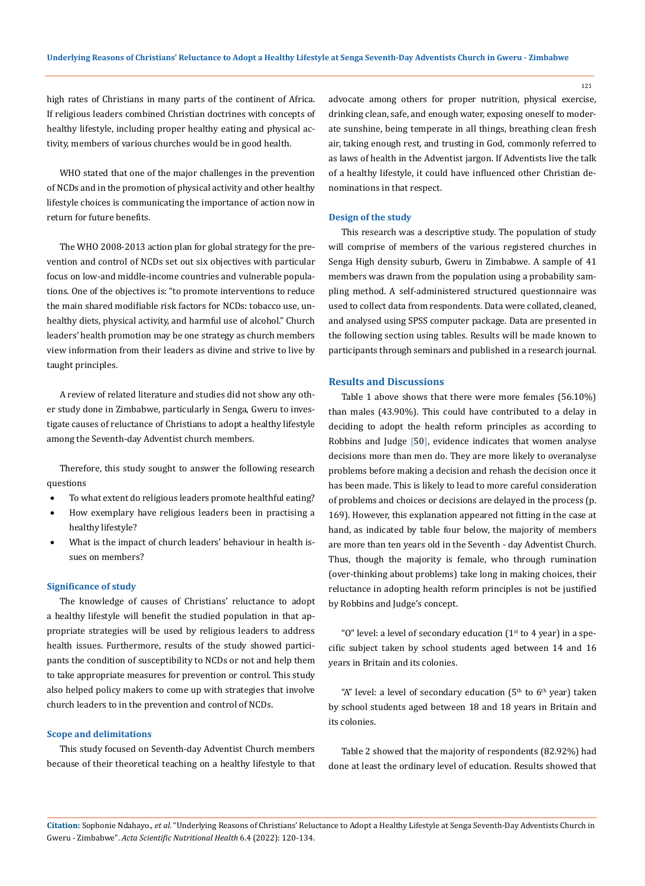high rates of Christians in many parts of the continent of Africa. If religious leaders combined Christian doctrines with concepts of healthy lifestyle, including proper healthy eating and physical activity, members of various churches would be in good health.

WHO stated that one of the major challenges in the prevention of NCDs and in the promotion of physical activity and other healthy lifestyle choices is communicating the importance of action now in return for future benefits.

The WHO 2008-2013 action plan for global strategy for the prevention and control of NCDs set out six objectives with particular focus on low-and middle-income countries and vulnerable populations. One of the objectives is: "to promote interventions to reduce the main shared modifiable risk factors for NCDs: tobacco use, unhealthy diets, physical activity, and harmful use of alcohol." Church leaders' health promotion may be one strategy as church members view information from their leaders as divine and strive to live by taught principles.

A review of related literature and studies did not show any other study done in Zimbabwe, particularly in Senga, Gweru to investigate causes of reluctance of Christians to adopt a healthy lifestyle among the Seventh-day Adventist church members.

Therefore, this study sought to answer the following research questions

- To what extent do religious leaders promote healthful eating?
- How exemplary have religious leaders been in practising a healthy lifestyle?
- What is the impact of church leaders' behaviour in health issues on members?

## **Significance of study**

The knowledge of causes of Christians' reluctance to adopt a healthy lifestyle will benefit the studied population in that appropriate strategies will be used by religious leaders to address health issues. Furthermore, results of the study showed participants the condition of susceptibility to NCDs or not and help them to take appropriate measures for prevention or control. This study also helped policy makers to come up with strategies that involve church leaders to in the prevention and control of NCDs.

#### **Scope and delimitations**

This study focused on Seventh-day Adventist Church members because of their theoretical teaching on a healthy lifestyle to that advocate among others for proper nutrition, physical exercise, drinking clean, safe, and enough water, exposing oneself to moderate sunshine, being temperate in all things, breathing clean fresh air, taking enough rest, and trusting in God, commonly referred to as laws of health in the Adventist jargon. If Adventists live the talk of a healthy lifestyle, it could have influenced other Christian denominations in that respect.

#### **Design of the study**

This research was a descriptive study. The population of study will comprise of members of the various registered churches in Senga High density suburb, Gweru in Zimbabwe. A sample of 41 members was drawn from the population using a probability sampling method. A self-administered structured questionnaire was used to collect data from respondents. Data were collated, cleaned, and analysed using SPSS computer package. Data are presented in the following section using tables. Results will be made known to participants through seminars and published in a research journal.

## **Results and Discussions**

Table 1 above shows that there were more females (56.10%) than males (43.90%). This could have contributed to a delay in deciding to adopt the health reform principles as according to Robbins and Judge [50], evidence indicates that women analyse decisions more than men do. They are more likely to overanalyse problems before making a decision and rehash the decision once it has been made. This is likely to lead to more careful consideration of problems and choices or decisions are delayed in the process (p. 169). However, this explanation appeared not fitting in the case at hand, as indicated by table four below, the majority of members are more than ten years old in the Seventh - day Adventist Church. Thus, though the majority is female, who through rumination (over-thinking about problems) take long in making choices, their reluctance in adopting health reform principles is not be justified by Robbins and Judge's concept.

"O" level: a level of secondary education  $(1<sup>st</sup>$  to 4 year) in a specific subject taken by school students aged between 14 and 16 years in Britain and its colonies.

"A" level: a level of secondary education  $(5<sup>th</sup>$  to  $6<sup>th</sup>$  year) taken by school students aged between 18 and 18 years in Britain and its colonies.

Table 2 showed that the majority of respondents (82.92%) had done at least the ordinary level of education. Results showed that

**Citation:** Sophonie Ndahayo.*, et al.* "Underlying Reasons of Christians' Reluctance to Adopt a Healthy Lifestyle at Senga Seventh-Day Adventists Church in Gweru - Zimbabwe". *Acta Scientific Nutritional Health* 6.4 (2022): 120-134.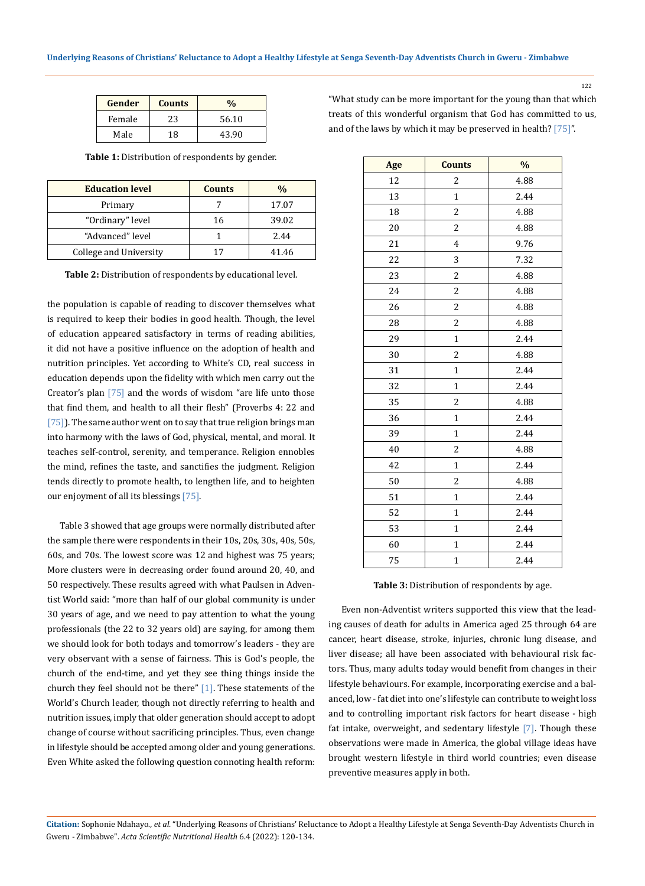| Gender | <b>Counts</b> | $\frac{0}{0}$ |  |
|--------|---------------|---------------|--|
| Female | 23            | 56.10         |  |
| Male   | 18            | 43.90         |  |

**Table 1:** Distribution of respondents by gender.

| <b>Education level</b> | <b>Counts</b> | $\frac{0}{0}$ |
|------------------------|---------------|---------------|
| Primary                |               | 17.07         |
| "Ordinary" level       | 16            | 39.02         |
| "Advanced" level       |               | 2.44          |
| College and University |               | 41.46         |

**Table 2:** Distribution of respondents by educational level.

the population is capable of reading to discover themselves what is required to keep their bodies in good health. Though, the level of education appeared satisfactory in terms of reading abilities, it did not have a positive influence on the adoption of health and nutrition principles. Yet according to White's CD, real success in education depends upon the fidelity with which men carry out the Creator's plan  $[75]$  and the words of wisdom "are life unto those that find them, and health to all their flesh" (Proverbs 4: 22 and  $[75]$ . The same author went on to say that true religion brings man into harmony with the laws of God, physical, mental, and moral. It teaches self-control, serenity, and temperance. Religion ennobles the mind, refines the taste, and sanctifies the judgment. Religion tends directly to promote health, to lengthen life, and to heighten our enjoyment of all its blessings [75].

Table 3 showed that age groups were normally distributed after the sample there were respondents in their 10s, 20s, 30s, 40s, 50s, 60s, and 70s. The lowest score was 12 and highest was 75 years; More clusters were in decreasing order found around 20, 40, and 50 respectively. These results agreed with what Paulsen in Adventist World said: "more than half of our global community is under 30 years of age, and we need to pay attention to what the young professionals (the 22 to 32 years old) are saying, for among them we should look for both todays and tomorrow's leaders - they are very observant with a sense of fairness. This is God's people, the church of the end-time, and yet they see thing things inside the church they feel should not be there" [1]. These statements of the World's Church leader, though not directly referring to health and nutrition issues, imply that older generation should accept to adopt change of course without sacrificing principles. Thus, even change in lifestyle should be accepted among older and young generations. Even White asked the following question connoting health reform: "What study can be more important for the young than that which treats of this wonderful organism that God has committed to us, and of the laws by which it may be preserved in health? [75]".

122

| Age | <b>Counts</b>           | $\frac{0}{6}$ |
|-----|-------------------------|---------------|
| 12  | $\overline{c}$          | 4.88          |
| 13  | $\mathbf{1}$            | 2.44          |
| 18  | $\overline{c}$          | 4.88          |
| 20  | $\overline{c}$          | 4.88          |
| 21  | 4                       | 9.76          |
| 22  | 3                       | 7.32          |
| 23  | $\overline{c}$          | 4.88          |
| 24  | $\overline{\mathbf{c}}$ | 4.88          |
| 26  | $\overline{\mathbf{c}}$ | 4.88          |
| 28  | $\overline{c}$          | 4.88          |
| 29  | $1\,$                   | 2.44          |
| 30  | $\overline{c}$          | 4.88          |
| 31  | $\mathbf{1}$            | 2.44          |
| 32  | $\mathbf{1}$            | 2.44          |
| 35  | $\overline{c}$          | 4.88          |
| 36  | $\mathbf{1}$            | 2.44          |
| 39  | $\mathbf{1}$            | 2.44          |
| 40  | 2                       | 4.88          |
| 42  | $\mathbf 1$             | 2.44          |
| 50  | $\overline{c}$          | 4.88          |
| 51  | $\mathbf 1$             | 2.44          |
| 52  | $\mathbf{1}$            | 2.44          |
| 53  | $\mathbf{1}$            | 2.44          |
| 60  | $\mathbf 1$             | 2.44          |
| 75  | $\mathbf{1}$            | 2.44          |

**Table 3:** Distribution of respondents by age.

Even non-Adventist writers supported this view that the leading causes of death for adults in America aged 25 through 64 are cancer, heart disease, stroke, injuries, chronic lung disease, and liver disease; all have been associated with behavioural risk factors. Thus, many adults today would benefit from changes in their lifestyle behaviours. For example, incorporating exercise and a balanced, low - fat diet into one's lifestyle can contribute to weight loss and to controlling important risk factors for heart disease - high fat intake, overweight, and sedentary lifestyle [7]. Though these observations were made in America, the global village ideas have brought western lifestyle in third world countries; even disease preventive measures apply in both.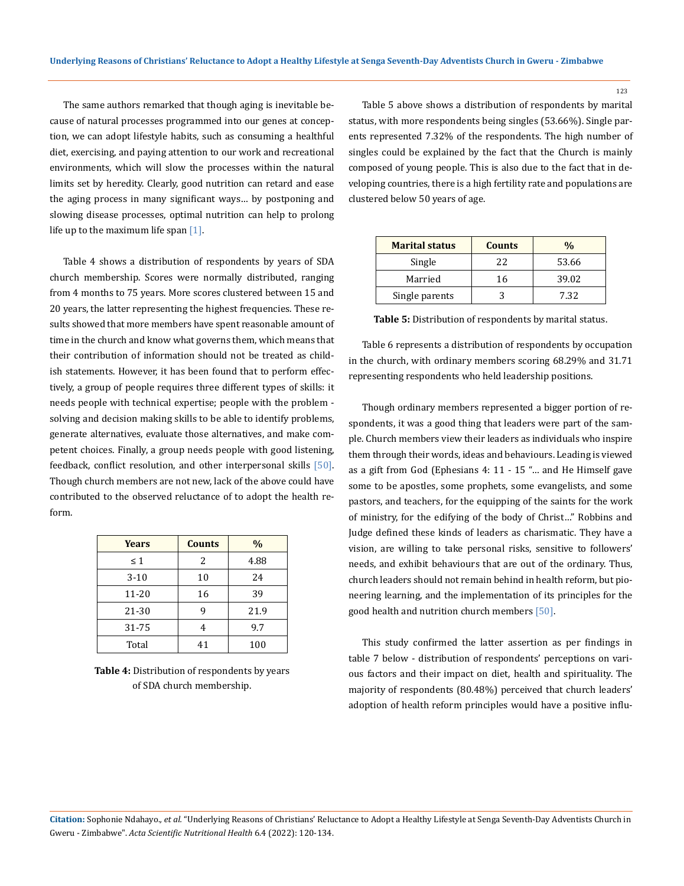The same authors remarked that though aging is inevitable because of natural processes programmed into our genes at conception, we can adopt lifestyle habits, such as consuming a healthful diet, exercising, and paying attention to our work and recreational environments, which will slow the processes within the natural limits set by heredity. Clearly, good nutrition can retard and ease the aging process in many significant ways… by postponing and slowing disease processes, optimal nutrition can help to prolong life up to the maximum life span  $[1]$ .

Table 4 shows a distribution of respondents by years of SDA church membership. Scores were normally distributed, ranging from 4 months to 75 years. More scores clustered between 15 and 20 years, the latter representing the highest frequencies. These results showed that more members have spent reasonable amount of time in the church and know what governs them, which means that their contribution of information should not be treated as childish statements. However, it has been found that to perform effectively, a group of people requires three different types of skills: it needs people with technical expertise; people with the problem solving and decision making skills to be able to identify problems, generate alternatives, evaluate those alternatives, and make competent choices. Finally, a group needs people with good listening, feedback, conflict resolution, and other interpersonal skills [50]. Though church members are not new, lack of the above could have contributed to the observed reluctance of to adopt the health reform.

| Years    | <b>Counts</b> | $\%$ |
|----------|---------------|------|
| $\leq 1$ | 2             | 4.88 |
| $3-10$   | 10            | 24   |
| 11-20    | 16            | 39   |
| 21-30    | 9             | 21.9 |
| 31-75    | 4             | 9.7  |
| Total    | 41            | 100  |

**Table 4:** Distribution of respondents by years of SDA church membership.

Table 5 above shows a distribution of respondents by marital status, with more respondents being singles (53.66%). Single parents represented 7.32% of the respondents. The high number of singles could be explained by the fact that the Church is mainly composed of young people. This is also due to the fact that in developing countries, there is a high fertility rate and populations are clustered below 50 years of age.

| <b>Marital status</b> | <b>Counts</b> | %     |
|-----------------------|---------------|-------|
| Single                | 22            | 53.66 |
| Married               | 16            | 39.02 |
| Single parents        |               | 7.32  |

**Table 5:** Distribution of respondents by marital status.

Table 6 represents a distribution of respondents by occupation in the church, with ordinary members scoring 68.29% and 31.71 representing respondents who held leadership positions.

Though ordinary members represented a bigger portion of respondents, it was a good thing that leaders were part of the sample. Church members view their leaders as individuals who inspire them through their words, ideas and behaviours. Leading is viewed as a gift from God (Ephesians 4: 11 - 15 "… and He Himself gave some to be apostles, some prophets, some evangelists, and some pastors, and teachers, for the equipping of the saints for the work of ministry, for the edifying of the body of Christ…" Robbins and Judge defined these kinds of leaders as charismatic. They have a vision, are willing to take personal risks, sensitive to followers' needs, and exhibit behaviours that are out of the ordinary. Thus, church leaders should not remain behind in health reform, but pioneering learning, and the implementation of its principles for the good health and nutrition church members [50].

This study confirmed the latter assertion as per findings in table 7 below - distribution of respondents' perceptions on various factors and their impact on diet, health and spirituality. The majority of respondents (80.48%) perceived that church leaders' adoption of health reform principles would have a positive influ-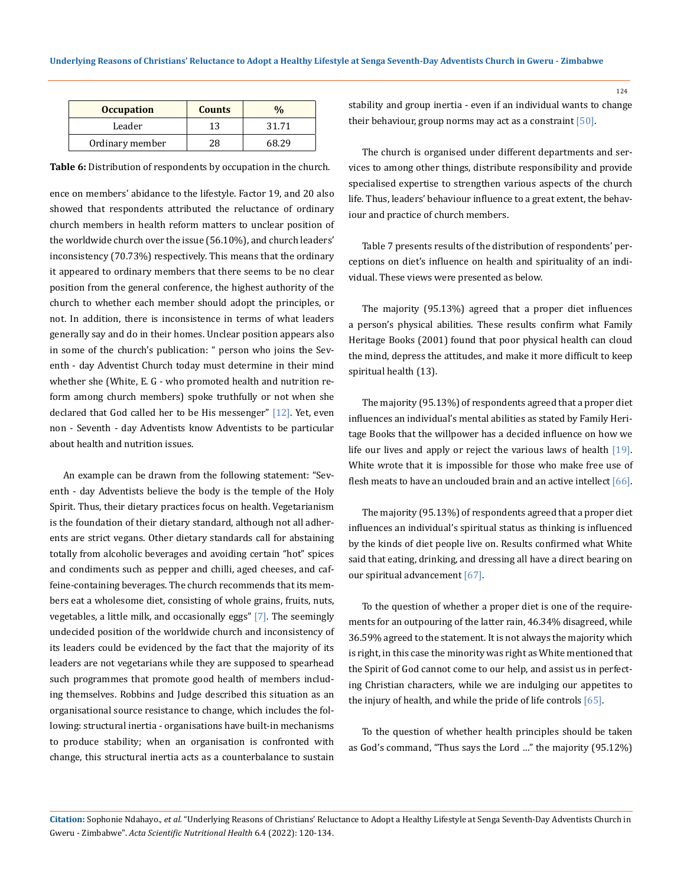| <b>Occupation</b> | <b>Counts</b> |       |
|-------------------|---------------|-------|
| Leader            | 13            | 31.71 |
| Ordinary member   |               |       |

**Table 6:** Distribution of respondents by occupation in the church.

ence on members' abidance to the lifestyle. Factor 19, and 20 also showed that respondents attributed the reluctance of ordinary church members in health reform matters to unclear position of the worldwide church over the issue (56.10%), and church leaders' inconsistency (70.73%) respectively. This means that the ordinary it appeared to ordinary members that there seems to be no clear position from the general conference, the highest authority of the church to whether each member should adopt the principles, or not. In addition, there is inconsistence in terms of what leaders generally say and do in their homes. Unclear position appears also in some of the church's publication: " person who joins the Seventh - day Adventist Church today must determine in their mind whether she (White, E. G - who promoted health and nutrition reform among church members) spoke truthfully or not when she declared that God called her to be His messenger" [12]. Yet, even non - Seventh - day Adventists know Adventists to be particular about health and nutrition issues.

An example can be drawn from the following statement: "Seventh - day Adventists believe the body is the temple of the Holy Spirit. Thus, their dietary practices focus on health. Vegetarianism is the foundation of their dietary standard, although not all adherents are strict vegans. Other dietary standards call for abstaining totally from alcoholic beverages and avoiding certain "hot" spices and condiments such as pepper and chilli, aged cheeses, and caffeine-containing beverages. The church recommends that its members eat a wholesome diet, consisting of whole grains, fruits, nuts, vegetables, a little milk, and occasionally eggs" [7]. The seemingly undecided position of the worldwide church and inconsistency of its leaders could be evidenced by the fact that the majority of its leaders are not vegetarians while they are supposed to spearhead such programmes that promote good health of members including themselves. Robbins and Judge described this situation as an organisational source resistance to change, which includes the following: structural inertia - organisations have built-in mechanisms to produce stability; when an organisation is confronted with change, this structural inertia acts as a counterbalance to sustain

stability and group inertia - even if an individual wants to change their behaviour, group norms may act as a constraint [50].

The church is organised under different departments and services to among other things, distribute responsibility and provide specialised expertise to strengthen various aspects of the church life. Thus, leaders' behaviour influence to a great extent, the behaviour and practice of church members.

Table 7 presents results of the distribution of respondents' perceptions on diet's influence on health and spirituality of an individual. These views were presented as below.

The majority (95.13%) agreed that a proper diet influences a person's physical abilities. These results confirm what Family Heritage Books (2001) found that poor physical health can cloud the mind, depress the attitudes, and make it more difficult to keep spiritual health (13).

The majority (95.13%) of respondents agreed that a proper diet influences an individual's mental abilities as stated by Family Heritage Books that the willpower has a decided influence on how we life our lives and apply or reject the various laws of health [19]. White wrote that it is impossible for those who make free use of flesh meats to have an unclouded brain and an active intellect  $[66]$ .

The majority (95.13%) of respondents agreed that a proper diet influences an individual's spiritual status as thinking is influenced by the kinds of diet people live on. Results confirmed what White said that eating, drinking, and dressing all have a direct bearing on our spiritual advancement [67].

To the question of whether a proper diet is one of the requirements for an outpouring of the latter rain, 46.34% disagreed, while 36.59% agreed to the statement. It is not always the majority which is right, in this case the minority was right as White mentioned that the Spirit of God cannot come to our help, and assist us in perfecting Christian characters, while we are indulging our appetites to the injury of health, and while the pride of life controls [65].

To the question of whether health principles should be taken as God's command, "Thus says the Lord …" the majority (95.12%)

**Citation:** Sophonie Ndahayo.*, et al.* "Underlying Reasons of Christians' Reluctance to Adopt a Healthy Lifestyle at Senga Seventh-Day Adventists Church in Gweru - Zimbabwe". *Acta Scientific Nutritional Health* 6.4 (2022): 120-134.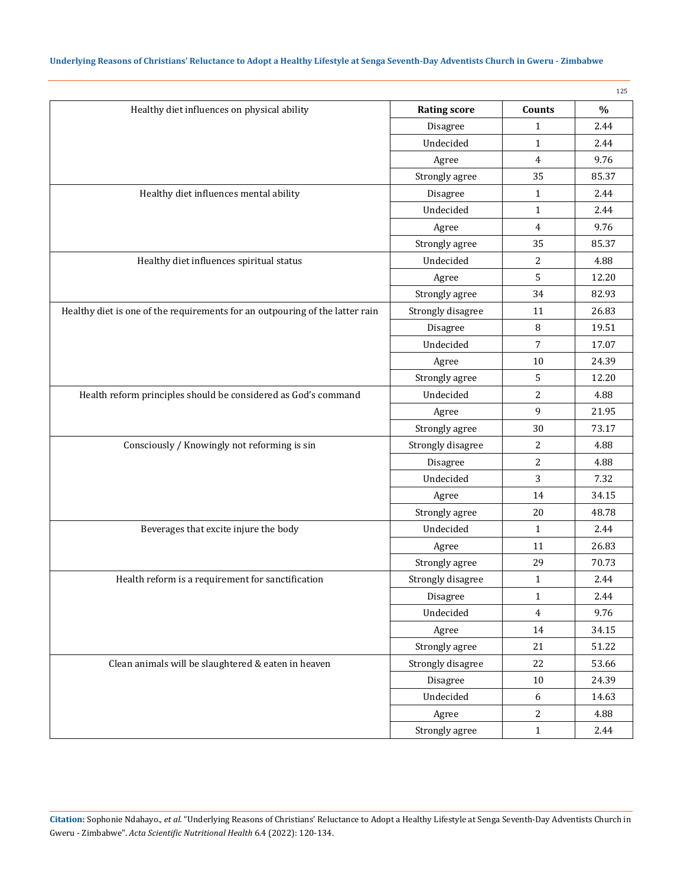|                                                                              |                     |                  | 125   |
|------------------------------------------------------------------------------|---------------------|------------------|-------|
| Healthy diet influences on physical ability                                  | <b>Rating score</b> | Counts           | $\%$  |
|                                                                              | Disagree            | $\mathbf{1}$     | 2.44  |
|                                                                              | Undecided           | $\mathbf{1}$     | 2.44  |
|                                                                              | Agree               | $\overline{4}$   | 9.76  |
|                                                                              | Strongly agree      | 35               | 85.37 |
| Healthy diet influences mental ability                                       | Disagree            | $\mathbf{1}$     | 2.44  |
|                                                                              | Undecided           | $\mathbf{1}$     | 2.44  |
|                                                                              | Agree               | $\overline{4}$   | 9.76  |
|                                                                              | Strongly agree      | 35               | 85.37 |
| Healthy diet influences spiritual status                                     | Undecided           | 2                | 4.88  |
|                                                                              | Agree               | 5                | 12.20 |
|                                                                              | Strongly agree      | 34               | 82.93 |
| Healthy diet is one of the requirements for an outpouring of the latter rain | Strongly disagree   | 11               | 26.83 |
|                                                                              | Disagree            | 8                | 19.51 |
|                                                                              | Undecided           | $\overline{7}$   | 17.07 |
|                                                                              | Agree               | 10               | 24.39 |
|                                                                              | Strongly agree      | 5                | 12.20 |
| Health reform principles should be considered as God's command               | Undecided           | 2                | 4.88  |
|                                                                              | Agree               | 9                | 21.95 |
|                                                                              | Strongly agree      | 30               | 73.17 |
| Consciously / Knowingly not reforming is sin                                 | Strongly disagree   | 2                | 4.88  |
|                                                                              | Disagree            | 2                | 4.88  |
|                                                                              | Undecided           | 3                | 7.32  |
|                                                                              | Agree               | 14               | 34.15 |
|                                                                              | Strongly agree      | 20               | 48.78 |
| Beverages that excite injure the body                                        | Undecided           | $\mathbf{1}$     | 2.44  |
|                                                                              | Agree               | 11               | 26.83 |
|                                                                              | Strongly agree      | 29               | 70.73 |
| Health reform is a requirement for sanctification                            | Strongly disagree   | $\mathbf{1}$     | 2.44  |
|                                                                              | Disagree            | $\mathbf{1}$     | 2.44  |
|                                                                              | Undecided           | $\overline{4}$   | 9.76  |
|                                                                              | Agree               | 14               | 34.15 |
|                                                                              | Strongly agree      | 21               | 51.22 |
| Clean animals will be slaughtered & eaten in heaven                          | Strongly disagree   | 22               | 53.66 |
|                                                                              | Disagree            | $10\,$           | 24.39 |
|                                                                              | Undecided           | $\boldsymbol{6}$ | 14.63 |
|                                                                              | Agree               | $\overline{c}$   | 4.88  |
|                                                                              | Strongly agree      | $\mathbf 1$      | 2.44  |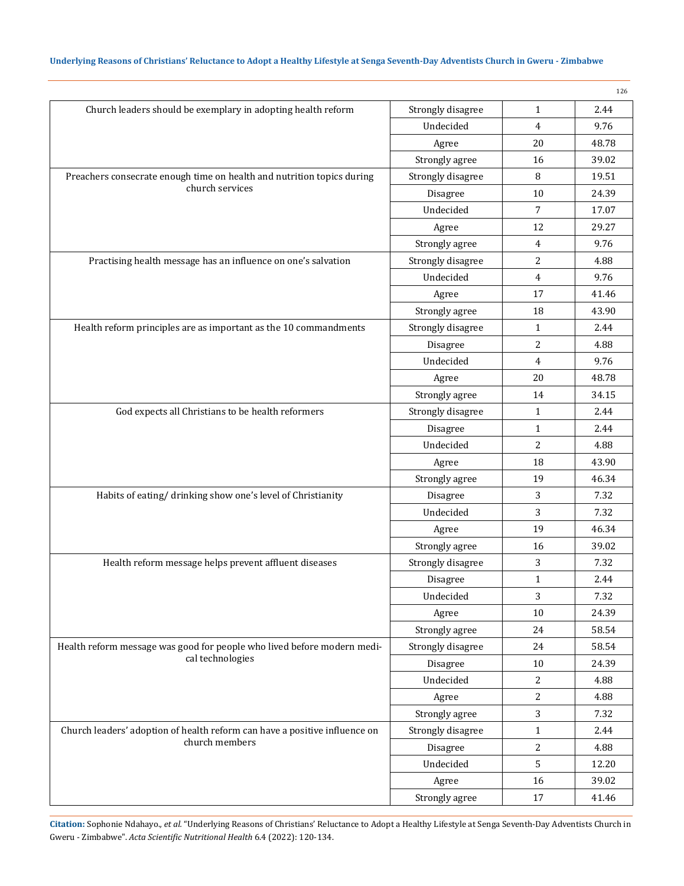|                                                                            |                   |                | 126   |
|----------------------------------------------------------------------------|-------------------|----------------|-------|
| Church leaders should be exemplary in adopting health reform               | Strongly disagree | $\mathbf{1}$   | 2.44  |
|                                                                            | Undecided         | $\overline{4}$ | 9.76  |
|                                                                            | Agree             | 20             | 48.78 |
|                                                                            | Strongly agree    | 16             | 39.02 |
| Preachers consecrate enough time on health and nutrition topics during     | Strongly disagree | 8              | 19.51 |
| church services                                                            | Disagree          | 10             | 24.39 |
|                                                                            | Undecided         | 7              | 17.07 |
|                                                                            | Agree             | 12             | 29.27 |
|                                                                            | Strongly agree    | 4              | 9.76  |
| Practising health message has an influence on one's salvation              | Strongly disagree | 2              | 4.88  |
|                                                                            | Undecided         | 4              | 9.76  |
|                                                                            | Agree             | 17             | 41.46 |
|                                                                            | Strongly agree    | 18             | 43.90 |
| Health reform principles are as important as the 10 commandments           | Strongly disagree | $\mathbf{1}$   | 2.44  |
|                                                                            | Disagree          | 2              | 4.88  |
|                                                                            | Undecided         | 4              | 9.76  |
|                                                                            | Agree             | 20             | 48.78 |
|                                                                            | Strongly agree    | 14             | 34.15 |
| God expects all Christians to be health reformers                          | Strongly disagree | $\mathbf{1}$   | 2.44  |
|                                                                            | Disagree          | $\mathbf{1}$   | 2.44  |
|                                                                            | Undecided         | 2              | 4.88  |
|                                                                            | Agree             | 18             | 43.90 |
|                                                                            | Strongly agree    | 19             | 46.34 |
| Habits of eating/drinking show one's level of Christianity                 | Disagree          | 3              | 7.32  |
|                                                                            | Undecided         | 3              | 7.32  |
|                                                                            | Agree             | 19             | 46.34 |
|                                                                            | Strongly agree    | 16             | 39.02 |
| Health reform message helps prevent affluent diseases                      | Strongly disagree | 3              | 7.32  |
|                                                                            | Disagree          | $\mathbf{1}$   | 2.44  |
|                                                                            | Undecided         | 3              | 7.32  |
|                                                                            | Agree             | 10             | 24.39 |
|                                                                            | Strongly agree    | 24             | 58.54 |
| Health reform message was good for people who lived before modern medi-    | Strongly disagree | 24             | 58.54 |
| cal technologies                                                           | Disagree          | $10\,$         | 24.39 |
|                                                                            | Undecided         | 2              | 4.88  |
|                                                                            | Agree             | $\overline{c}$ | 4.88  |
|                                                                            | Strongly agree    | 3              | 7.32  |
| Church leaders' adoption of health reform can have a positive influence on | Strongly disagree | $\mathbf{1}$   | 2.44  |
| church members                                                             | Disagree          | 2              | 4.88  |
|                                                                            | Undecided         | 5              | 12.20 |
|                                                                            | Agree             | 16             | 39.02 |
|                                                                            | Strongly agree    | 17             | 41.46 |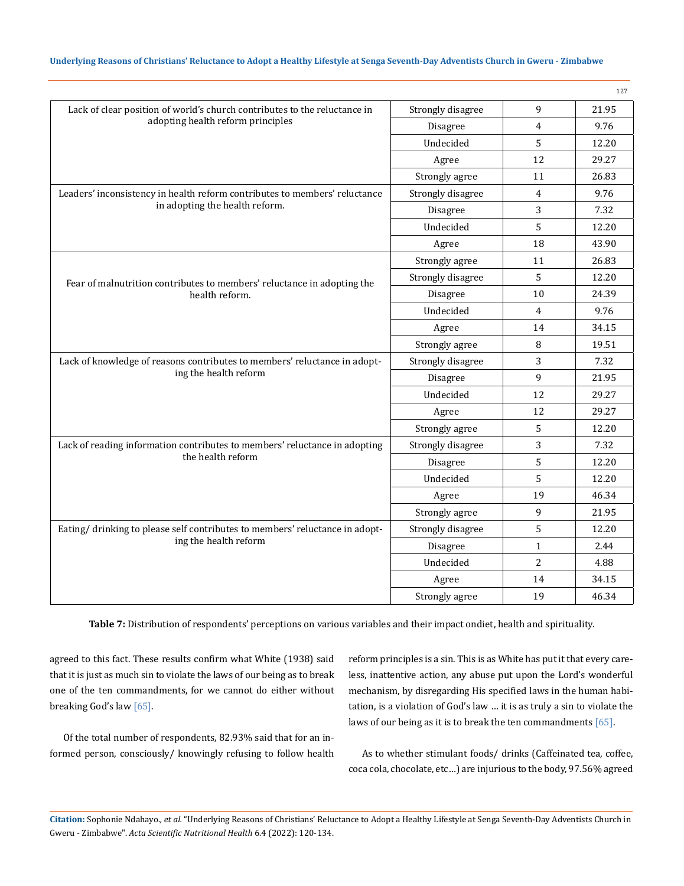|                                                                             |                   |                | 127   |
|-----------------------------------------------------------------------------|-------------------|----------------|-------|
| Lack of clear position of world's church contributes to the reluctance in   | Strongly disagree | 9              | 21.95 |
| adopting health reform principles                                           | Disagree          | 4              | 9.76  |
|                                                                             | Undecided         | 5              | 12.20 |
|                                                                             | Agree             | 12             | 29.27 |
|                                                                             | Strongly agree    | 11             | 26.83 |
| Leaders' inconsistency in health reform contributes to members' reluctance  | Strongly disagree | $\overline{4}$ | 9.76  |
| in adopting the health reform.                                              | Disagree          | 3              | 7.32  |
|                                                                             | Undecided         | 5              | 12.20 |
|                                                                             | Agree             | 18             | 43.90 |
|                                                                             | Strongly agree    | 11             | 26.83 |
| Fear of malnutrition contributes to members' reluctance in adopting the     | Strongly disagree | 5              | 12.20 |
| health reform.                                                              | Disagree          | 10             | 24.39 |
|                                                                             | Undecided         | 4              | 9.76  |
|                                                                             | Agree             | 14             | 34.15 |
|                                                                             | Strongly agree    | 8              | 19.51 |
| Lack of knowledge of reasons contributes to members' reluctance in adopt-   | Strongly disagree | 3              | 7.32  |
| ing the health reform                                                       | Disagree          | 9              | 21.95 |
|                                                                             | Undecided         | 12             | 29.27 |
|                                                                             | Agree             | 12             | 29.27 |
|                                                                             | Strongly agree    | 5              | 12.20 |
| Lack of reading information contributes to members' reluctance in adopting  | Strongly disagree | 3              | 7.32  |
| the health reform                                                           | Disagree          | 5              | 12.20 |
|                                                                             | Undecided         | 5              | 12.20 |
|                                                                             | Agree             | 19             | 46.34 |
|                                                                             | Strongly agree    | 9              | 21.95 |
| Eating/drinking to please self contributes to members' reluctance in adopt- | Strongly disagree | 5              | 12.20 |
| ing the health reform                                                       | Disagree          | $\mathbf{1}$   | 2.44  |
|                                                                             | Undecided         | $\overline{2}$ | 4.88  |
|                                                                             | Agree             | 14             | 34.15 |
|                                                                             | Strongly agree    | 19             | 46.34 |

**Table 7:** Distribution of respondents' perceptions on various variables and their impact ondiet, health and spirituality.

agreed to this fact. These results confirm what White (1938) said that it is just as much sin to violate the laws of our being as to break one of the ten commandments, for we cannot do either without breaking God's law [65].

Of the total number of respondents, 82.93% said that for an informed person, consciously/ knowingly refusing to follow health reform principles is a sin. This is as White has put it that every careless, inattentive action, any abuse put upon the Lord's wonderful mechanism, by disregarding His specified laws in the human habitation, is a violation of God's law … it is as truly a sin to violate the laws of our being as it is to break the ten commandments [65].

As to whether stimulant foods/ drinks (Caffeinated tea, coffee, coca cola, chocolate, etc…) are injurious to the body, 97.56% agreed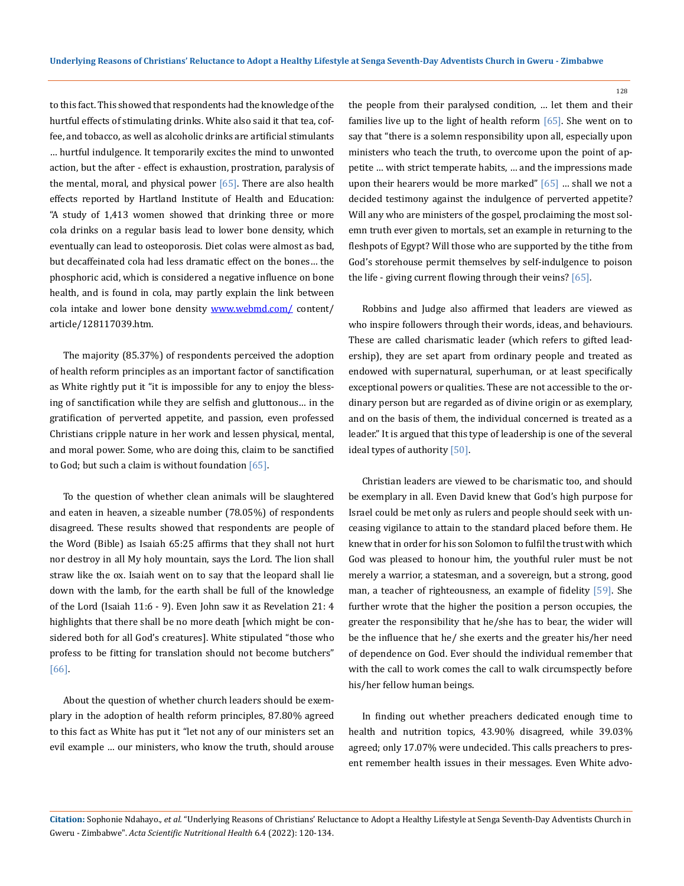to this fact. This showed that respondents had the knowledge of the hurtful effects of stimulating drinks. White also said it that tea, coffee, and tobacco, as well as alcoholic drinks are artificial stimulants … hurtful indulgence. It temporarily excites the mind to unwonted action, but the after - effect is exhaustion, prostration, paralysis of the mental, moral, and physical power  $[65]$ . There are also health effects reported by Hartland Institute of Health and Education: "A study of 1,413 women showed that drinking three or more cola drinks on a regular basis lead to lower bone density, which eventually can lead to osteoporosis. Diet colas were almost as bad, but decaffeinated cola had less dramatic effect on the bones… the phosphoric acid, which is considered a negative influence on bone health, and is found in cola, may partly explain the link between cola intake and lower bone density [www.webmd.com/](http://www.webmd.com/) content/ article/128117039.htm.

The majority (85.37%) of respondents perceived the adoption of health reform principles as an important factor of sanctification as White rightly put it "it is impossible for any to enjoy the blessing of sanctification while they are selfish and gluttonous… in the gratification of perverted appetite, and passion, even professed Christians cripple nature in her work and lessen physical, mental, and moral power. Some, who are doing this, claim to be sanctified to God; but such a claim is without foundation  $[65]$ .

To the question of whether clean animals will be slaughtered and eaten in heaven, a sizeable number (78.05%) of respondents disagreed. These results showed that respondents are people of the Word (Bible) as Isaiah 65:25 affirms that they shall not hurt nor destroy in all My holy mountain, says the Lord. The lion shall straw like the ox. Isaiah went on to say that the leopard shall lie down with the lamb, for the earth shall be full of the knowledge of the Lord (Isaiah 11:6 - 9). Even John saw it as Revelation 21: 4 highlights that there shall be no more death [which might be considered both for all God's creatures]. White stipulated "those who profess to be fitting for translation should not become butchers" [66].

About the question of whether church leaders should be exemplary in the adoption of health reform principles, 87.80% agreed to this fact as White has put it "let not any of our ministers set an evil example … our ministers, who know the truth, should arouse the people from their paralysed condition, … let them and their families live up to the light of health reform [65]. She went on to say that "there is a solemn responsibility upon all, especially upon ministers who teach the truth, to overcome upon the point of appetite … with strict temperate habits, … and the impressions made upon their hearers would be more marked"  $[65]$  ... shall we not a decided testimony against the indulgence of perverted appetite? Will any who are ministers of the gospel, proclaiming the most solemn truth ever given to mortals, set an example in returning to the fleshpots of Egypt? Will those who are supported by the tithe from God's storehouse permit themselves by self-indulgence to poison the life - giving current flowing through their veins? [65].

128

Robbins and Judge also affirmed that leaders are viewed as who inspire followers through their words, ideas, and behaviours. These are called charismatic leader (which refers to gifted leadership), they are set apart from ordinary people and treated as endowed with supernatural, superhuman, or at least specifically exceptional powers or qualities. These are not accessible to the ordinary person but are regarded as of divine origin or as exemplary, and on the basis of them, the individual concerned is treated as a leader." It is argued that this type of leadership is one of the several ideal types of authority [50].

Christian leaders are viewed to be charismatic too, and should be exemplary in all. Even David knew that God's high purpose for Israel could be met only as rulers and people should seek with unceasing vigilance to attain to the standard placed before them. He knew that in order for his son Solomon to fulfil the trust with which God was pleased to honour him, the youthful ruler must be not merely a warrior, a statesman, and a sovereign, but a strong, good man, a teacher of righteousness, an example of fidelity [59]. She further wrote that the higher the position a person occupies, the greater the responsibility that he/she has to bear, the wider will be the influence that he/ she exerts and the greater his/her need of dependence on God. Ever should the individual remember that with the call to work comes the call to walk circumspectly before his/her fellow human beings.

In finding out whether preachers dedicated enough time to health and nutrition topics, 43.90% disagreed, while 39.03% agreed; only 17.07% were undecided. This calls preachers to present remember health issues in their messages. Even White advo-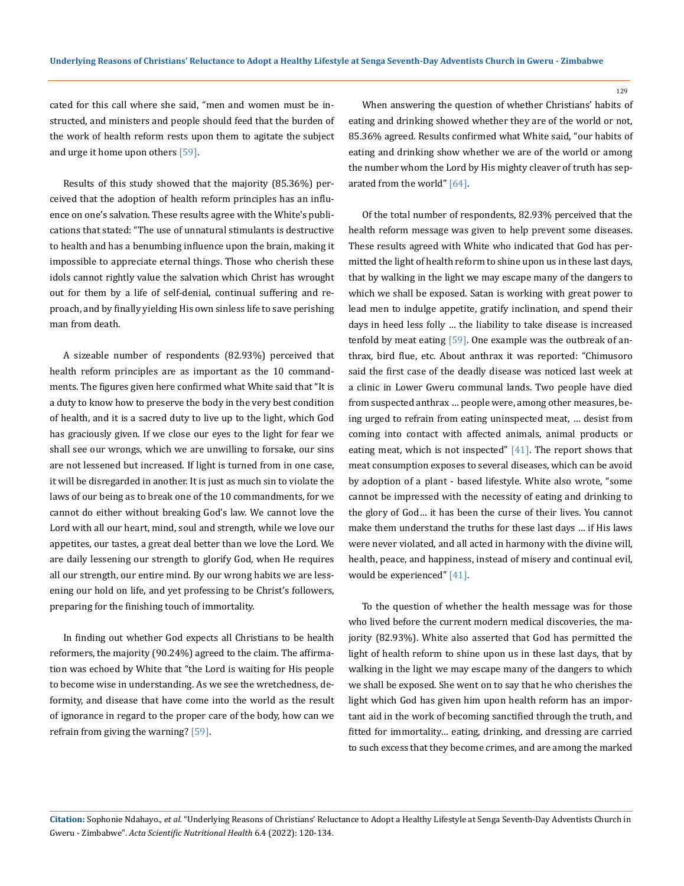cated for this call where she said, "men and women must be instructed, and ministers and people should feed that the burden of the work of health reform rests upon them to agitate the subject and urge it home upon others [59].

Results of this study showed that the majority (85.36%) perceived that the adoption of health reform principles has an influence on one's salvation. These results agree with the White's publications that stated: "The use of unnatural stimulants is destructive to health and has a benumbing influence upon the brain, making it impossible to appreciate eternal things. Those who cherish these idols cannot rightly value the salvation which Christ has wrought out for them by a life of self-denial, continual suffering and reproach, and by finally yielding His own sinless life to save perishing man from death.

A sizeable number of respondents (82.93%) perceived that health reform principles are as important as the 10 commandments. The figures given here confirmed what White said that "It is a duty to know how to preserve the body in the very best condition of health, and it is a sacred duty to live up to the light, which God has graciously given. If we close our eyes to the light for fear we shall see our wrongs, which we are unwilling to forsake, our sins are not lessened but increased. If light is turned from in one case, it will be disregarded in another. It is just as much sin to violate the laws of our being as to break one of the 10 commandments, for we cannot do either without breaking God's law. We cannot love the Lord with all our heart, mind, soul and strength, while we love our appetites, our tastes, a great deal better than we love the Lord. We are daily lessening our strength to glorify God, when He requires all our strength, our entire mind. By our wrong habits we are lessening our hold on life, and yet professing to be Christ's followers, preparing for the finishing touch of immortality.

In finding out whether God expects all Christians to be health reformers, the majority (90.24%) agreed to the claim. The affirmation was echoed by White that "the Lord is waiting for His people to become wise in understanding. As we see the wretchedness, deformity, and disease that have come into the world as the result of ignorance in regard to the proper care of the body, how can we refrain from giving the warning? [59].

When answering the question of whether Christians' habits of eating and drinking showed whether they are of the world or not, 85.36% agreed. Results confirmed what White said, "our habits of eating and drinking show whether we are of the world or among the number whom the Lord by His mighty cleaver of truth has separated from the world" [64].

Of the total number of respondents, 82.93% perceived that the health reform message was given to help prevent some diseases. These results agreed with White who indicated that God has permitted the light of health reform to shine upon us in these last days, that by walking in the light we may escape many of the dangers to which we shall be exposed. Satan is working with great power to lead men to indulge appetite, gratify inclination, and spend their days in heed less folly … the liability to take disease is increased tenfold by meat eating [59]. One example was the outbreak of anthrax, bird flue, etc. About anthrax it was reported: "Chimusoro said the first case of the deadly disease was noticed last week at a clinic in Lower Gweru communal lands. Two people have died from suspected anthrax … people were, among other measures, being urged to refrain from eating uninspected meat, … desist from coming into contact with affected animals, animal products or eating meat, which is not inspected"  $[41]$ . The report shows that meat consumption exposes to several diseases, which can be avoid by adoption of a plant - based lifestyle. White also wrote, "some cannot be impressed with the necessity of eating and drinking to the glory of God… it has been the curse of their lives. You cannot make them understand the truths for these last days … if His laws were never violated, and all acted in harmony with the divine will, health, peace, and happiness, instead of misery and continual evil, would be experienced" [41].

To the question of whether the health message was for those who lived before the current modern medical discoveries, the majority (82.93%). White also asserted that God has permitted the light of health reform to shine upon us in these last days, that by walking in the light we may escape many of the dangers to which we shall be exposed. She went on to say that he who cherishes the light which God has given him upon health reform has an important aid in the work of becoming sanctified through the truth, and fitted for immortality… eating, drinking, and dressing are carried to such excess that they become crimes, and are among the marked

**Citation:** Sophonie Ndahayo.*, et al.* "Underlying Reasons of Christians' Reluctance to Adopt a Healthy Lifestyle at Senga Seventh-Day Adventists Church in Gweru - Zimbabwe". *Acta Scientific Nutritional Health* 6.4 (2022): 120-134.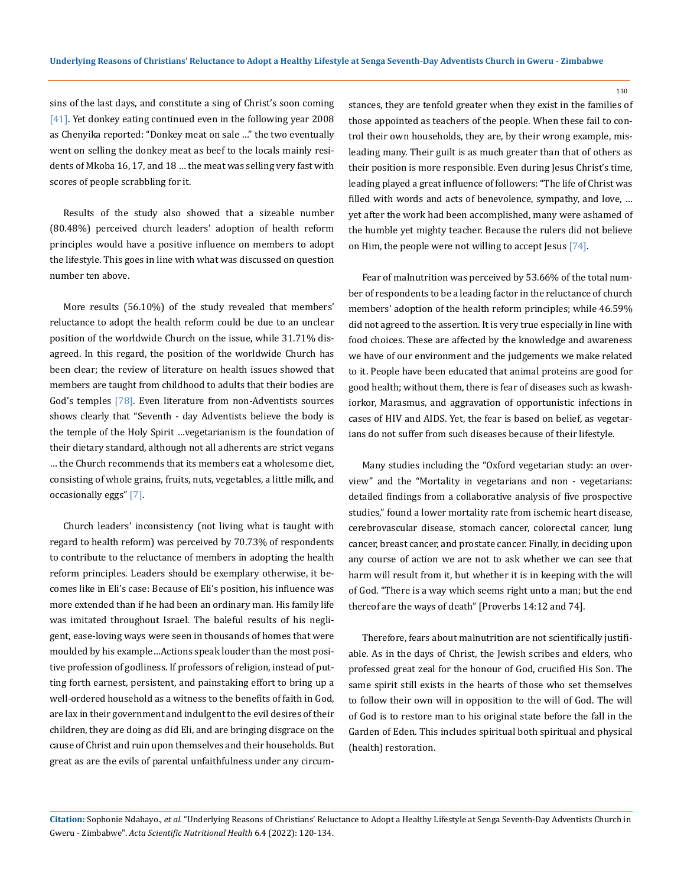sins of the last days, and constitute a sing of Christ's soon coming [41]. Yet donkey eating continued even in the following year 2008 as Chenyika reported: "Donkey meat on sale …" the two eventually went on selling the donkey meat as beef to the locals mainly residents of Mkoba 16, 17, and 18 … the meat was selling very fast with scores of people scrabbling for it.

Results of the study also showed that a sizeable number (80.48%) perceived church leaders' adoption of health reform principles would have a positive influence on members to adopt the lifestyle. This goes in line with what was discussed on question number ten above.

More results (56.10%) of the study revealed that members' reluctance to adopt the health reform could be due to an unclear position of the worldwide Church on the issue, while 31.71% disagreed. In this regard, the position of the worldwide Church has been clear; the review of literature on health issues showed that members are taught from childhood to adults that their bodies are God's temples [78]. Even literature from non-Adventists sources shows clearly that "Seventh - day Adventists believe the body is the temple of the Holy Spirit …vegetarianism is the foundation of their dietary standard, although not all adherents are strict vegans … the Church recommends that its members eat a wholesome diet, consisting of whole grains, fruits, nuts, vegetables, a little milk, and occasionally eggs" [7].

Church leaders' inconsistency (not living what is taught with regard to health reform) was perceived by 70.73% of respondents to contribute to the reluctance of members in adopting the health reform principles. Leaders should be exemplary otherwise, it becomes like in Eli's case: Because of Eli's position, his influence was more extended than if he had been an ordinary man. His family life was imitated throughout Israel. The baleful results of his negligent, ease-loving ways were seen in thousands of homes that were moulded by his example…Actions speak louder than the most positive profession of godliness. If professors of religion, instead of putting forth earnest, persistent, and painstaking effort to bring up a well-ordered household as a witness to the benefits of faith in God, are lax in their government and indulgent to the evil desires of their children, they are doing as did Eli, and are bringing disgrace on the cause of Christ and ruin upon themselves and their households. But great as are the evils of parental unfaithfulness under any circumstances, they are tenfold greater when they exist in the families of those appointed as teachers of the people. When these fail to control their own households, they are, by their wrong example, misleading many. Their guilt is as much greater than that of others as their position is more responsible. Even during Jesus Christ's time, leading played a great influence of followers: "The life of Christ was filled with words and acts of benevolence, sympathy, and love, … yet after the work had been accomplished, many were ashamed of the humble yet mighty teacher. Because the rulers did not believe on Him, the people were not willing to accept Jesus [74].

Fear of malnutrition was perceived by 53.66% of the total number of respondents to be a leading factor in the reluctance of church members' adoption of the health reform principles; while 46.59% did not agreed to the assertion. It is very true especially in line with food choices. These are affected by the knowledge and awareness we have of our environment and the judgements we make related to it. People have been educated that animal proteins are good for good health; without them, there is fear of diseases such as kwashiorkor, Marasmus, and aggravation of opportunistic infections in cases of HIV and AIDS. Yet, the fear is based on belief, as vegetarians do not suffer from such diseases because of their lifestyle.

Many studies including the "Oxford vegetarian study: an overview" and the "Mortality in vegetarians and non - vegetarians: detailed findings from a collaborative analysis of five prospective studies," found a lower mortality rate from ischemic heart disease, cerebrovascular disease, stomach cancer, colorectal cancer, lung cancer, breast cancer, and prostate cancer. Finally, in deciding upon any course of action we are not to ask whether we can see that harm will result from it, but whether it is in keeping with the will of God. "There is a way which seems right unto a man; but the end thereof are the ways of death" [Proverbs 14:12 and 74].

Therefore, fears about malnutrition are not scientifically justifiable. As in the days of Christ, the Jewish scribes and elders, who professed great zeal for the honour of God, crucified His Son. The same spirit still exists in the hearts of those who set themselves to follow their own will in opposition to the will of God. The will of God is to restore man to his original state before the fall in the Garden of Eden. This includes spiritual both spiritual and physical (health) restoration.

**Citation:** Sophonie Ndahayo.*, et al.* "Underlying Reasons of Christians' Reluctance to Adopt a Healthy Lifestyle at Senga Seventh-Day Adventists Church in Gweru - Zimbabwe". *Acta Scientific Nutritional Health* 6.4 (2022): 120-134.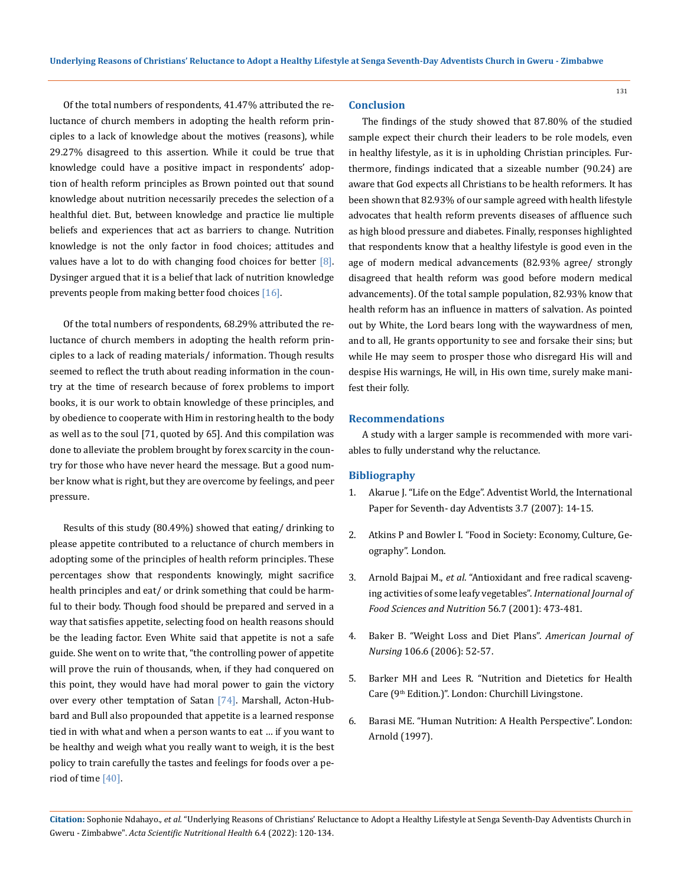Of the total numbers of respondents, 41.47% attributed the reluctance of church members in adopting the health reform principles to a lack of knowledge about the motives (reasons), while 29.27% disagreed to this assertion. While it could be true that knowledge could have a positive impact in respondents' adoption of health reform principles as Brown pointed out that sound knowledge about nutrition necessarily precedes the selection of a healthful diet. But, between knowledge and practice lie multiple beliefs and experiences that act as barriers to change. Nutrition knowledge is not the only factor in food choices; attitudes and values have a lot to do with changing food choices for better [8]. Dysinger argued that it is a belief that lack of nutrition knowledge prevents people from making better food choices [16].

Of the total numbers of respondents, 68.29% attributed the reluctance of church members in adopting the health reform principles to a lack of reading materials/ information. Though results seemed to reflect the truth about reading information in the country at the time of research because of forex problems to import books, it is our work to obtain knowledge of these principles, and by obedience to cooperate with Him in restoring health to the body as well as to the soul [71, quoted by 65]. And this compilation was done to alleviate the problem brought by forex scarcity in the country for those who have never heard the message. But a good number know what is right, but they are overcome by feelings, and peer pressure.

Results of this study (80.49%) showed that eating/ drinking to please appetite contributed to a reluctance of church members in adopting some of the principles of health reform principles. These percentages show that respondents knowingly, might sacrifice health principles and eat/ or drink something that could be harmful to their body. Though food should be prepared and served in a way that satisfies appetite, selecting food on health reasons should be the leading factor. Even White said that appetite is not a safe guide. She went on to write that, "the controlling power of appetite will prove the ruin of thousands, when, if they had conquered on this point, they would have had moral power to gain the victory over every other temptation of Satan [74]. Marshall, Acton-Hubbard and Bull also propounded that appetite is a learned response tied in with what and when a person wants to eat … if you want to be healthy and weigh what you really want to weigh, it is the best policy to train carefully the tastes and feelings for foods over a period of time [40].

#### **Conclusion**

The findings of the study showed that 87.80% of the studied sample expect their church their leaders to be role models, even in healthy lifestyle, as it is in upholding Christian principles. Furthermore, findings indicated that a sizeable number (90.24) are aware that God expects all Christians to be health reformers. It has been shown that 82.93% of our sample agreed with health lifestyle advocates that health reform prevents diseases of affluence such as high blood pressure and diabetes. Finally, responses highlighted that respondents know that a healthy lifestyle is good even in the age of modern medical advancements (82.93% agree/ strongly disagreed that health reform was good before modern medical advancements). Of the total sample population, 82.93% know that health reform has an influence in matters of salvation. As pointed out by White, the Lord bears long with the waywardness of men, and to all, He grants opportunity to see and forsake their sins; but while He may seem to prosper those who disregard His will and despise His warnings, He will, in His own time, surely make manifest their folly.

#### **Recommendations**

A study with a larger sample is recommended with more variables to fully understand why the reluctance.

#### **Bibliography**

- 1. Akarue J. "Life on the Edge". Adventist World, the International Paper for Seventh- day Adventists 3.7 (2007): 14-15.
- 2. [Atkins P and Bowler I. "Food in Society: Economy, Culture, Ge](https://www.routledge.com/Food-in-Society-Economy-Culture-Geography/Atkins-Bowler/p/book/9780340720042)[ography". London.](https://www.routledge.com/Food-in-Society-Economy-Culture-Geography/Atkins-Bowler/p/book/9780340720042)
- 3. Arnold Bajpai M., *et al*[. "Antioxidant and free radical scaveng](https://pubmed.ncbi.nlm.nih.gov/16503558/)[ing activities of some leafy vegetables".](https://pubmed.ncbi.nlm.nih.gov/16503558/) *International Journal of [Food Sciences and Nutrition](https://pubmed.ncbi.nlm.nih.gov/16503558/)* 56.7 (2001): 473-481.
- 4. [Baker B. "Weight Loss and Diet Plans".](https://pubmed.ncbi.nlm.nih.gov/16728847/) *American Journal of Nursing* [106.6 \(2006\): 52-57.](https://pubmed.ncbi.nlm.nih.gov/16728847/)
- 5. [Barker MH and Lees R. "Nutrition and Dietetics for Health](https://www.elsevier.com/books/nutrition-and-dietetics-for-health-care/barker/978-0-443-07021-1)  Care (9th [Edition.\)". London: Churchill Livingstone.](https://www.elsevier.com/books/nutrition-and-dietetics-for-health-care/barker/978-0-443-07021-1)
- 6. [Barasi ME. "Human Nutrition: A Health Perspective". London:](https://www.routledge.com/Barasis-Human-Nutrition-A-Health-Perspective-Third-Edition/Lean-Combet/p/book/9781444137200)  [Arnold \(1997\).](https://www.routledge.com/Barasis-Human-Nutrition-A-Health-Perspective-Third-Edition/Lean-Combet/p/book/9781444137200)

**Citation:** Sophonie Ndahayo.*, et al.* "Underlying Reasons of Christians' Reluctance to Adopt a Healthy Lifestyle at Senga Seventh-Day Adventists Church in Gweru - Zimbabwe". *Acta Scientific Nutritional Health* 6.4 (2022): 120-134.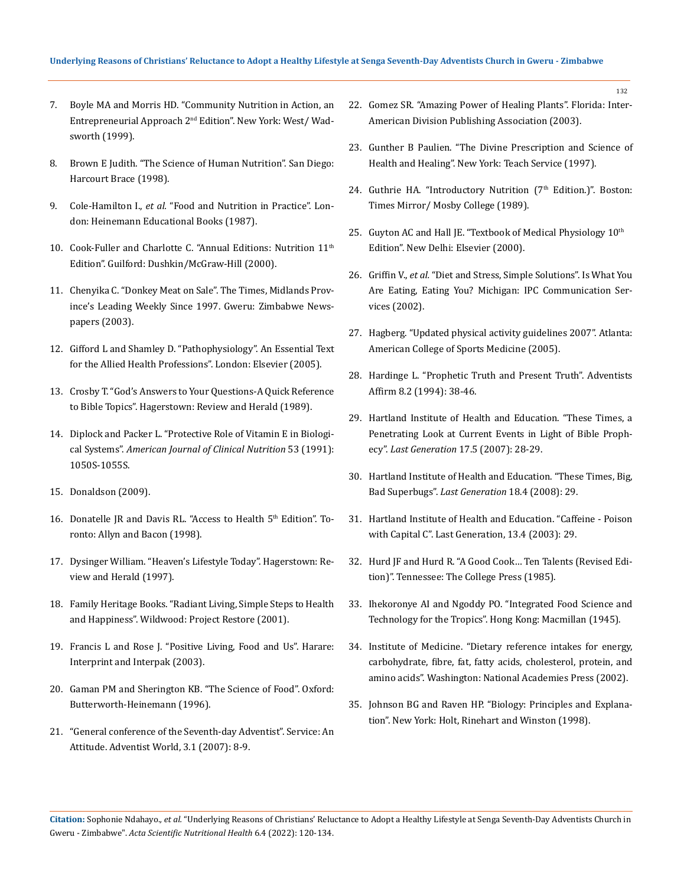- 7. [Boyle MA and Morris HD. "Community Nutrition in Action, an](https://www.worldcat.org/title/community-nutrition-in-action-an-entrepreneurial-approach/oclc/961042145?referer=&ht=edition)  Entrepreneurial Approach 2nd [Edition". New York: West/ Wad](https://www.worldcat.org/title/community-nutrition-in-action-an-entrepreneurial-approach/oclc/961042145?referer=&ht=edition)[sworth \(1999\).](https://www.worldcat.org/title/community-nutrition-in-action-an-entrepreneurial-approach/oclc/961042145?referer=&ht=edition)
- 8. Brown E Judith. "The Science of Human Nutrition". San Diego: Harcourt Brace (1998).
- 9. Cole-Hamilton I., *et al.* "Food and Nutrition in Practice". London: Heinemann Educational Books (1987).
- 10. Cook-Fuller and Charlotte C. "Annual Editions: Nutrition 11<sup>th</sup> Edition". Guilford: Dushkin/McGraw-Hill (2000).
- 11. Chenyika C. "Donkey Meat on Sale". The Times, Midlands Province's Leading Weekly Since 1997. Gweru: Zimbabwe Newspapers (2003).
- 12. [Gifford L and Shamley D. "Pathophysiology". An Essential Text](https://www.abebooks.com/9780750652346/Pathophysiology-Essential-Text-Allied-Health-0750652349/plp)  [for the Allied Health Professions". London: Elsevier \(2005\).](https://www.abebooks.com/9780750652346/Pathophysiology-Essential-Text-Allied-Health-0750652349/plp)
- 13. [Crosby T. "God's Answers to Your Questions-A Quick Reference](https://www.abebooks.com/9780828005401/Gods-Answers-Questions-Quick-Reference-0828005400/plp)  [to Bible Topics". Hagerstown: Review and Herald \(1989\).](https://www.abebooks.com/9780828005401/Gods-Answers-Questions-Quick-Reference-0828005400/plp)
- 14. [Diplock and Packer L. "Protective Role of Vitamin E in Biologi](https://pubmed.ncbi.nlm.nih.gov/2012017/)cal Systems". *[American Journal of Clinical Nutrition](https://pubmed.ncbi.nlm.nih.gov/2012017/)* 53 (1991): [1050S-1055S.](https://pubmed.ncbi.nlm.nih.gov/2012017/)
- 15. Donaldson (2009).
- 16. Donatelle JR and Davis RL. "Access to Health 5<sup>th</sup> Edition". Toronto: Allyn and Bacon (1998).
- 17. [Dysinger William. "Heaven's Lifestyle Today". Hagerstown: Re](https://www.abebooks.com/9781578470037/Heavens-Lifestyle-Today-Health-Context-157847003X/plp)[view and Herald \(1997\).](https://www.abebooks.com/9781578470037/Heavens-Lifestyle-Today-Health-Context-157847003X/plp)
- 18. Family Heritage Books. "Radiant Living, Simple Steps to Health and Happiness". Wildwood: Project Restore (2001).
- 19. Francis L and Rose J. "Positive Living, Food and Us". Harare: Interprint and Interpak (2003).
- 20. Gaman PM and Sherington KB. "The Science of Food". Oxford: Butterworth-Heinemann (1996).
- 21. ["General conference of the Seventh-day Adventist". Service: An](https://gc.adventist.org/)  [Attitude. Adventist World, 3.1 \(2007\): 8-9.](https://gc.adventist.org/)
- 22. [Gomez SR. "Amazing Power of Healing Plants". Florida: Inter-](https://www.worldcat.org/title/amazing-power-of-healing-plants/oclc/968422452)[American Division Publishing Association \(2003\).](https://www.worldcat.org/title/amazing-power-of-healing-plants/oclc/968422452)
- 23. [Gunther B Paulien. "The Divine Prescription and Science of](https://books.google.co.in/books/about/The_Divine_Prescription_and_Science_of_H.html?id=nNdmNbCcWoEC&redir_esc=y)  [Health and Healing". New York: Teach Service \(1997\).](https://books.google.co.in/books/about/The_Divine_Prescription_and_Science_of_H.html?id=nNdmNbCcWoEC&redir_esc=y)
- 24. Guthrie HA. "Introductory Nutrition (7<sup>th</sup> Edition.)". Boston: Times Mirror/ Mosby College (1989).
- 25. Guyton AC and Hall JE. "Textbook of Medical Physiology  $10^{th}$ [Edition". New Delhi: Elsevier \(2000\).](https://www.textbooks.com/Textbook-of-Medical-Physiology-10th-Edition/9780721686776/Arthur-C-Guyton-and-John-E-Hall.php)
- 26. Griffin V., *et al.* "Diet and Stress, Simple Solutions". Is What You Are Eating, Eating You? Michigan: IPC Communication Services (2002).
- 27. Hagberg. "Updated physical activity guidelines 2007". Atlanta: American College of Sports Medicine (2005).
- 28. Hardinge L. "Prophetic Truth and Present Truth". Adventists Affirm 8.2 (1994): 38-46.
- 29. [Hartland Institute of Health and Education. "These Times, a](https://lastgen.net/articles/these-times-6/)  [Penetrating Look at Current Events in Light of Bible Proph](https://lastgen.net/articles/these-times-6/)ecy". *Last Generation* [17.5 \(2007\): 28-29.](https://lastgen.net/articles/these-times-6/)
- 30. Hartland Institute of Health and Education. "These Times, Big, Bad Superbugs". *Last Generation* 18.4 (2008): 29.
- 31. Hartland Institute of Health and Education. "Caffeine Poison with Capital C". Last Generation, 13.4 (2003): 29.
- 32. [Hurd JF and Hurd R. "A Good Cook… Ten Talents \(Revised Edi](https://www.abebooks.com/book-search/title/good-cook-ten-talents/author/frank-hurd-rosalie/)[tion\)". Tennessee: The College Press \(1985\).](https://www.abebooks.com/book-search/title/good-cook-ten-talents/author/frank-hurd-rosalie/)
- 33. [Ihekoronye AI and Ngoddy PO. "Integrated Food Science and](https://agris.fao.org/agris-search/search.do?recordID=US201300674821)  [Technology for the Tropics". Hong Kong: Macmillan \(1945\).](https://agris.fao.org/agris-search/search.do?recordID=US201300674821)
- 34. [Institute of Medicine. "Dietary reference intakes for energy,](https://pubmed.ncbi.nlm.nih.gov/12449285/)  [carbohydrate, fibre, fat, fatty acids, cholesterol, protein, and](https://pubmed.ncbi.nlm.nih.gov/12449285/)  [amino acids". Washington: National Academies Press \(2002\).](https://pubmed.ncbi.nlm.nih.gov/12449285/)
- 35. Johnson BG and Raven HP. "Biology: Principles and Explanation". New York: Holt, Rinehart and Winston (1998).

**Citation:** Sophonie Ndahayo.*, et al.* "Underlying Reasons of Christians' Reluctance to Adopt a Healthy Lifestyle at Senga Seventh-Day Adventists Church in Gweru - Zimbabwe". *Acta Scientific Nutritional Health* 6.4 (2022): 120-134.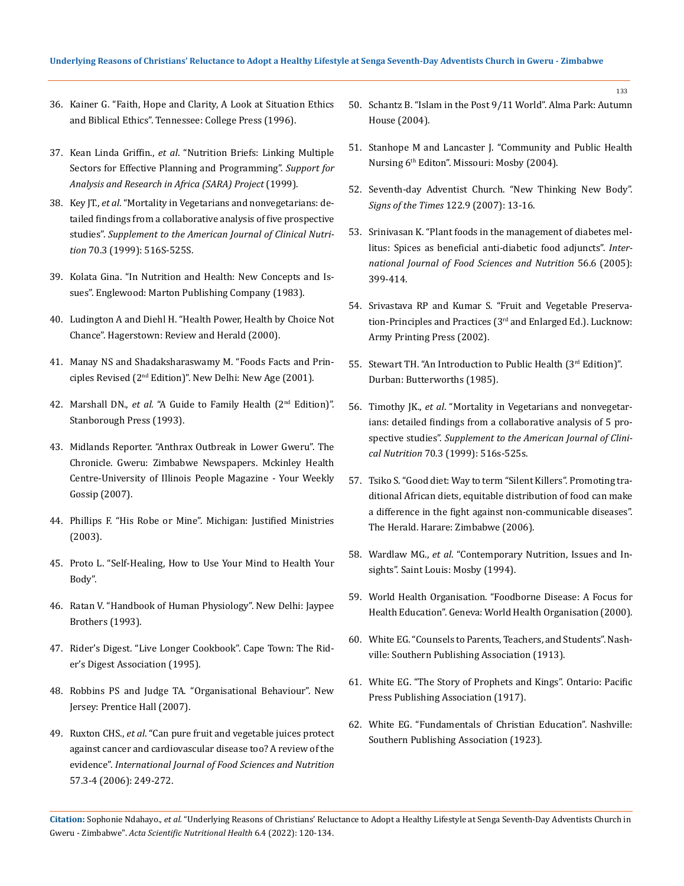- 36. [Kainer G. "Faith, Hope and Clarity, A Look at Situation Ethics](https://www.goodreads.com/en/book/show/18247360-faith-hope-and-clarity)  [and Biblical Ethics". Tennessee: College Press \(1996\).](https://www.goodreads.com/en/book/show/18247360-faith-hope-and-clarity)
- 37. Kean Linda Griffin., *et al*[. "Nutrition Briefs: Linking Multiple](https://www.semanticscholar.org/paper/Nutrition-briefs.-Linking-multiple-sectors-for-and-Lwanga-Piwoz/d68d7ce53deb03720d87671f69b4cbe9ec6b4db5)  [Sectors for Effective Planning and Programming".](https://www.semanticscholar.org/paper/Nutrition-briefs.-Linking-multiple-sectors-for-and-Lwanga-Piwoz/d68d7ce53deb03720d87671f69b4cbe9ec6b4db5) *Support for [Analysis and Research in Africa](https://www.semanticscholar.org/paper/Nutrition-briefs.-Linking-multiple-sectors-for-and-Lwanga-Piwoz/d68d7ce53deb03720d87671f69b4cbe9ec6b4db5) (SARA) Project* (1999).
- 38. Key JT., *et al*[. "Mortality in Vegetarians and nonvegetarians: de](https://pubmed.ncbi.nlm.nih.gov/10479225/)[tailed findings from a collaborative analysis of five prospective](https://pubmed.ncbi.nlm.nih.gov/10479225/)  studies". *[Supplement to the American Journal of Clinical Nutri](https://pubmed.ncbi.nlm.nih.gov/10479225/)tion* [70.3 \(1999\): 516S-525S.](https://pubmed.ncbi.nlm.nih.gov/10479225/)
- 39. Kolata Gina. "In Nutrition and Health: New Concepts and Issues". Englewood: Marton Publishing Company (1983).
- 40. [Ludington A and Diehl H. "Health Power, Health by Choice Not](https://www.goodreads.com/en/book/show/5150170-health-power)  [Chance". Hagerstown: Review and Herald \(2000\).](https://www.goodreads.com/en/book/show/5150170-health-power)
- 41. [Manay NS and Shadaksharaswamy M. "Foods Facts and Prin](https://books.google.co.in/books/about/Food_Facts_and_Principles.html?id=asvtnQEACAAJ&redir_esc=y)ciples Revised (2nd [Edition\)". New Delhi: New Age \(2001\).](https://books.google.co.in/books/about/Food_Facts_and_Principles.html?id=asvtnQEACAAJ&redir_esc=y)
- 42. Marshall DN., *et al*. "A Guide to Family Health (2nd Edition)". Stanborough Press (1993).
- 43. Midlands Reporter. "Anthrax Outbreak in Lower Gweru". The Chronicle. Gweru: Zimbabwe Newspapers. Mckinley Health Centre-University of Illinois People Magazine - Your Weekly Gossip (2007).
- 44. [Phillips F. "His Robe or Mine". Michigan: Justified Ministries](https://www.scribd.com/document/40107974/His-Robe-or-Mine-by-Frank-B-Phillips)  [\(2003\).](https://www.scribd.com/document/40107974/His-Robe-or-Mine-by-Frank-B-Phillips)
- 45. [Proto L. "Self-Healing, How to Use Your Mind to Health Your](https://www.hachette.co.uk/titles/louis-proto/self-healinguse-your-mind-to-heal-your-body/9780749923464/)  [Body".](https://www.hachette.co.uk/titles/louis-proto/self-healinguse-your-mind-to-heal-your-body/9780749923464/)
- 46. [Ratan V. "Handbook of Human Physiology". New Delhi: Jaypee](https://www.jaypeebrothers.com/pgDetails.aspx?book_id=9788171793228)  [Brothers \(1993\).](https://www.jaypeebrothers.com/pgDetails.aspx?book_id=9788171793228)
- 47. Rider's Digest. "Live Longer Cookbook". Cape Town: The Rider's Digest Association (1995).
- 48. Robbins PS and Judge TA. "Organisational Behaviour". New Jersey: Prentice Hall (2007).
- 49. Ruxton CHS., *et al*[. "Can pure fruit and vegetable juices protect](https://pubmed.ncbi.nlm.nih.gov/17127476/)  [against cancer and cardiovascular disease too? A review of the](https://pubmed.ncbi.nlm.nih.gov/17127476/)  evidence". *[International Journal of Food Sciences and Nutrition](https://pubmed.ncbi.nlm.nih.gov/17127476/)* [57.3-4 \(2006\): 249-272.](https://pubmed.ncbi.nlm.nih.gov/17127476/)

50. Schantz B. "Islam in the Post 9/11 World". Alma Park: Autumn House (2004).

- 51. Stanhope M and Lancaster J. "Community and Public Health Nursing 6th Editon". Missouri: Mosby (2004).
- 52. Seventh-day Adventist Church. "New Thinking New Body". *Signs of the Times* 122.9 (2007): 13-16.
- 53. [Srinivasan K. "Plant foods in the management of diabetes mel](https://pubmed.ncbi.nlm.nih.gov/16361181/)[litus: Spices as beneficial anti-diabetic food adjuncts".](https://pubmed.ncbi.nlm.nih.gov/16361181/) *Inter[national Journal of Food Sciences and Nutrition](https://pubmed.ncbi.nlm.nih.gov/16361181/)* 56.6 (2005): [399-414.](https://pubmed.ncbi.nlm.nih.gov/16361181/)
- 54. [Srivastava RP and Kumar S. "Fruit and Vegetable Preserva](https://www.abebooks.com/Fruit-Vegetable-Preservation-Principles-Practices-Revised/30825295297/bd)[tion-Principles and Practices \(3rd](https://www.abebooks.com/Fruit-Vegetable-Preservation-Principles-Practices-Revised/30825295297/bd) and Enlarged Ed.). Lucknow: [Army Printing Press \(2002\).](https://www.abebooks.com/Fruit-Vegetable-Preservation-Principles-Practices-Revised/30825295297/bd)
- 55. [Stewart TH. "An Introduction to Public Health \(3](https://www.elsevier.com/books/introduction-to-public-health/978-0-7295-4203-6)rd Edition)". [Durban: Butterworths \(1985\).](https://www.elsevier.com/books/introduction-to-public-health/978-0-7295-4203-6)
- 56. Timothy JK., *et al*[. "Mortality in Vegetarians and nonvegetar](https://pubmed.ncbi.nlm.nih.gov/10479225/)[ians: detailed findings from a collaborative analysis of 5 pro](https://pubmed.ncbi.nlm.nih.gov/10479225/)spective studies". *[Supplement to the American Journal of Clini](https://pubmed.ncbi.nlm.nih.gov/10479225/)cal Nutrition* [70.3 \(1999\): 516s-525s.](https://pubmed.ncbi.nlm.nih.gov/10479225/)
- 57. Tsiko S. "Good diet: Way to term "Silent Killers". Promoting traditional African diets, equitable distribution of food can make a difference in the fight against non-communicable diseases". The Herald. Harare: Zimbabwe (2006).
- 58. Wardlaw MG., *et al*[. "Contemporary Nutrition, Issues and In](https://books.google.co.in/books/about/Contemporary_Nutrition.html?id=A4ITjODEJagC&redir_esc=y)[sights". Saint Louis: Mosby \(1994\).](https://books.google.co.in/books/about/Contemporary_Nutrition.html?id=A4ITjODEJagC&redir_esc=y)
- 59. [World Health Organisation. "Foodborne Disease: A Focus for](https://apps.who.int/iris/handle/10665/42428)  [Health Education". Geneva: World Health Organisation \(2000\).](https://apps.who.int/iris/handle/10665/42428)
- 60. [White EG. "Counsels to Parents, Teachers, and Students". Nash](http://centrowhite.org.br/files/ebooks/egw-english/books/Counsels%20to%20Parents,%20Teachers,%20and%20Students.pdf)[ville: Southern Publishing Association \(1913\).](http://centrowhite.org.br/files/ebooks/egw-english/books/Counsels%20to%20Parents,%20Teachers,%20and%20Students.pdf)
- 61. [White EG. "The Story of Prophets and Kings". Ontario: Pacific](https://www.ellenwhite.info/books/books-by-egw-pk.htm)  [Press Publishing Association \(1917\).](https://www.ellenwhite.info/books/books-by-egw-pk.htm)
- 62. [White EG. "Fundamentals of Christian Education". Nashville:](https://m.egwwritings.org/en/book/32.2)  [Southern Publishing Association \(1923\).](https://m.egwwritings.org/en/book/32.2)

**Citation:** Sophonie Ndahayo.*, et al.* "Underlying Reasons of Christians' Reluctance to Adopt a Healthy Lifestyle at Senga Seventh-Day Adventists Church in Gweru - Zimbabwe". *Acta Scientific Nutritional Health* 6.4 (2022): 120-134.